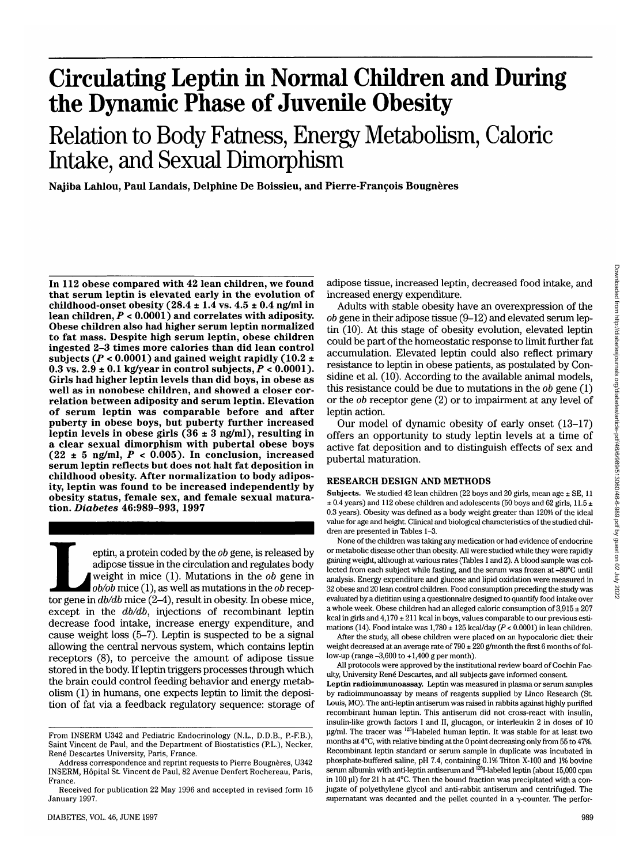# **Circulating Leptin in Normal Children and During the Dynamic Phase of Juvenile Obesity**

Relation to Body Fatness, Energy Metabolism, Caloric Intake, and Sexual Dimorphism

**Najiba Lahlou, Paul Landais, Delphine De Boissieu, and Pierre-Francois Bougneres**

**In 112 obese compared with 42 lean children, we found that serum leptin is elevated early in the evolution of childhood-onset obesity (28.4 ± 1.4 vs. 4.5 ± 0.4 ng/ml in lean children,** *P <* **0.0001) and correlates with adiposity. Obese children also had higher serum leptin normalized to fat mass. Despite high serum leptin, obese children ingested 2-3 times more calories than did lean control subjects (P < 0.0001) and gained weight rapidly (10.2 ± 0.3 vs. 2.9 ± 0.1 kg/year in control subjects,** *P <* **0.0001). Girls had higher leptin levels than did boys, in obese as well as in nonobese children, and showed a closer cor- relation between adiposity and serum leptin. Elevation of serum leptin was comparable before and after puberty in obese boys, but puberty further increased leptin levels in obese girls (36 ± 3 ng/ml), resulting in a clear sexual dimorphism with pubertal obese boys**  $(22 \pm 5 \text{ ng/ml}, P < 0.005)$ . In conclusion, increased **serum leptin reflects but does not halt fat deposition in childhood obesity. After normalization to body adipos- ity, leptin was found to be increased independently by obesity status, female sex, and female sexual matura- tion.** *Diabetes* **46:989-993, 1997**

eptin, a protein coded by the *ob* gene, is released by adipose tissue in the circulation and regulates body weight in mice (1). Mutations in the *ob* gene in  $\frac{ob}{ob}$  mice (2–4), result in obesity. In obese mice, adipose tissue in the circulation and regulates body weight in mice (1). Mutations in the *ob* gene in *ob/ob* mice (1), as well as mutations in the *ob* recepexcept in the *db/db,* injections of recombinant leptin decrease food intake, increase energy expenditure, and cause weight loss (5-7). Leptin is suspected to be a signal allowing the central nervous system, which contains leptin receptors (8), to perceive the amount of adipose tissue stored in the body. If leptin triggers processes through which the brain could control feeding behavior and energy metabolism (1) in humans, one expects leptin to limit the deposition of fat via a feedback regulatory sequence: storage of

adipose tissue, increased leptin, decreased food intake, and increased energy expenditure.

Adults with stable obesity have an overexpression of the *ob* gene in their adipose tissue (9-12) and elevated serum leptin (10). At this stage of obesity evolution, elevated leptin could be part of the homeostatic response to limit further fat accumulation. Elevated leptin could also reflect primary resistance to leptin in obese patients, as postulated by Considine et al. (10). According to the available animal models, this resistance could be due to mutations in the *ob* gene (1) or the *ob* receptor gene (2) or to impairment at any level of leptin action.

Our model of dynamic obesity of early onset (13-17) offers an opportunity to study leptin levels at a time of active fat deposition and to distinguish effects of sex and pubertal maturation.

### **RESEARCH DESIGN AND METHODS**

Subjects. We studied 42 lean children (22 boys and 20 girls, mean age  $\pm$  SE, 11  $\pm$  0.4 years) and 112 obese children and adolescents (50 boys and 62 girls, 11.5  $\pm$ 0.3 years). Obesity was defined as a body weight greater than 120% of the ideal value for age and height. Clinical and biological characteristics of the studied children are presented in Tables 1-3.

None of the children was taking any medication or had evidence of endocrine or metabolic disease other than obesity. All were studied while they were rapidly gaining weight, although at various rates (Tables 1 and 2). A blood sample was collected from each subject while fasting, and the serum was frozen at -80°C until analysis. Energy expenditure and glucose and lipid oxidation were measured in 32 obese and 20 lean control children. Food consumption preceding the study was evaluated by a dietitian using a questionnaire designed to quantify food intake over a whole week. Obese children had an alleged caloric consumption of  $3,915 \pm 207$ kcal in girls and  $4,170 \pm 211$  kcal in boys, values comparable to our previous estimations (14). Food intake was 1,780 ± 125 kcal/day *(P <* 0.0001) in lean children.

After the study, all obese children were placed on an hypocaloric diet: their weight decreased at an average rate of  $790 \pm 220$  g/month the first 6 months of follow-up (range -3,600 to +1,400 g per month).

All protocols were approved by the institutional review board of Cochin Faculty, University René Descartes, and all subjects gave informed consent.

**Leptin radioimmimoassay.** Leptin was measured in plasma or serum samples by radioimmunoassay by means of reagents supplied by Linco Research (St. Louis, MO). The anti-leptin antiserum was raised in rabbits against highly purified recombinant human leptin. This antiserum did not cross-react with insulin, insulin-like growth factors I and II, glucagon, or interleukin 2 in doses of 10 ug/ml. The tracer was <sup>125</sup>I-labeled human leptin. It was stable for at least two months at 4°C, with relative binding at the 0 point decreasing only from 55 to 4796. Recombinant leptin standard or serum sample in duplicate was incubated in phosphate-buffered saline, pH 7.4, containing 0.1% Triton X-100 and 1% bovine serum albumin with anti-leptin antiserum and <sup>125</sup>I-labeled leptin (about 15,000 cpm in 100 ul) for 21 h at 4°C. Then the bound fraction was precipitated with a conjugate of polyethylene glycol and anti-rabbit antiserum and centrifuged. The supernatant was decanted and the pellet counted in a  $\gamma$ -counter. The perfor-

From INSERM U342 and Pediatric Endocrinology (N.L., D.D.B., P.-F.B.), Saint Vincent de Paul, and the Department of Biostatistics (PL.), Necker, René Descartes University, Paris, France.

Address correspondence and reprint requests to Pierre Bougnères, U342 INSERM, Hopital St. Vincent de Paul, 82 Avenue Denfert Rochereau, Paris, France.

Received for publication 22 May 1996 and accepted in revised form 15 January 1997.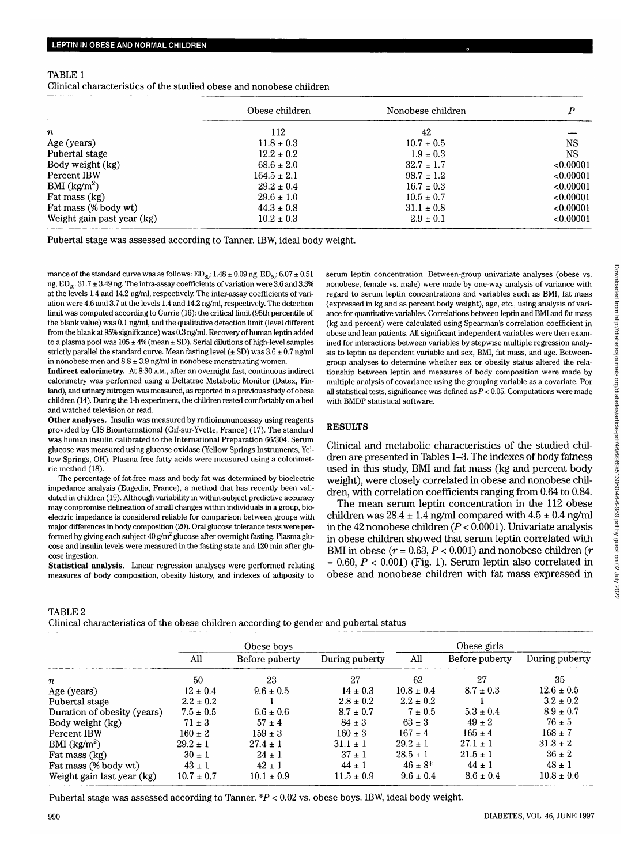| TABLE 1                                                             |  |  |
|---------------------------------------------------------------------|--|--|
| Clinical characteristics of the studied obese and nonobese children |  |  |

|                            | Obese children  | Nonobese children |           |
|----------------------------|-----------------|-------------------|-----------|
| $\it n$                    | 112             | 42                |           |
| Age (years)                | $11.8 \pm 0.3$  | $10.7 \pm 0.5$    | <b>NS</b> |
| Pubertal stage             | $12.2 \pm 0.2$  | $1.9 \pm 0.3$     | <b>NS</b> |
| Body weight (kg)           | $68.6 \pm 2.0$  | $32.7 \pm 1.7$    | < 0.00001 |
| Percent IBW                | $164.5 \pm 2.1$ | $98.7 \pm 1.2$    | < 0.00001 |
| BMI $(kg/m2)$              | $29.2 \pm 0.4$  | $16.7 \pm 0.3$    | <0.00001  |
| Fat mass (kg)              | $29.6 \pm 1.0$  | $10.5 \pm 0.7$    | < 0.00001 |
| Fat mass (% body wt)       | $44.3 \pm 0.8$  | $31.1 \pm 0.8$    | < 0.00001 |
| Weight gain past year (kg) | $10.2 \pm 0.3$  | $2.9 \pm 0.1$     | < 0.00001 |

Pubertal stage was assessed according to Tanner. IBW, ideal body weight.

mance of the standard curve was as follows:  $ED_{so}: 1.48 \pm 0.09$  ng,  $ED_{so}: 6.07 \pm 0.51$ ng,  $ED_{20}$ :  $31.7 \pm 3.49$  ng. The intra-assay coefficients of variation were  $3.6$  and  $3.3\%$ at the levels 1.4 and 14.2 ng/ml, respectively. The inter-assay coefficients of variation were 4.6 and 3.7 at the levels 1.4 and 14.2 ng/ml, respectively. The detection limit was computed according to Currie (16): the critical limit (95th percentile of the blank value) was 0.1 ng/ml, and the qualitative detection limit (level different from the blank at 95% significance) was 0.3 ng/ml. Recovery of human leptin added to a plasma pool was  $105 \pm 4\%$  (mean  $\pm$  SD). Serial dilutions of high-level samples strictly parallel the standard curve. Mean fasting level  $(\pm SD)$  was  $3.6 \pm 0.7$  ng/ml in nonobese men and  $8.8 \pm 3.9$  ng/ml in nonobese menstruating women.

**Indirect calorimetry.** At 8:30 A.M., after an overnight fast, continuous indirect calorimetry was performed using a Deltatrac Metabolic Monitor (Datex, Finland), and urinary nitrogen was measured, as reported in a previous study of obese children (14). During the 1-h experiment, the children rested comfortably on a bed and watched television or read.

**Other analyses.** Insulin was measured by radioimmunoassay using reagents provided by CIS Biointernational (Gif-sur-Yvette, France) (17). The standard was human insulin calibrated to the International Preparation 66/304. Serum glucose was measured using glucose oxidase (Yellow Springs Instruments, Yellow Springs, OH). Plasma free fatty acids were measured using a colorimetric method (18).

The percentage of fat-free mass and body fat was determined by bioelectric impedance analysis (Eugedia, France), a method that has recently been validated in children (19). Although variability in within-subject predictive accuracy may compromise delineation of small changes within individuals in a group, bioelectric impedance is considered reliable for comparison between groups with major differences in body composition (20). Oral glucose tolerance tests were performed by giving each subject  $40$  g/m<sup>2</sup> glucose after overnight fasting. Plasma glucose and insulin levels were measured in the fasting state and 120 min after glucose ingestion.

**Statistical analysis.** Linear regression analyses were performed relating measures of body composition, obesity history, and indexes of adiposity to serum leptin concentration. Between-group univariate analyses (obese vs. nonobese, female vs. male) were made by one-way analysis of variance with regard to serum leptin concentrations and variables such as BMI, fat mass (expressed in kg and as percent body weight), age, etc., using analysis of variance for quantitative variables. Correlations between leptin and BMI and fat mass (kg and percent) were calculated using Spearman's correlation coefficient in obese and lean patients. All significant independent variables were then examined for interactions between variables by stepwise multiple regression analysis to leptin as dependent variable and sex, BMI, fat mass, and age. Betweengroup analyses to determine whether sex or obesity status altered the relationship between leptin and measures of body composition were made by multiple analysis of covariance using the grouping variable as a covariate. For all statistical tests, significance was defined as  $P < 0.05$ . Computations were made with BMDP statistical software.

## **RESULTS**

Clinical and metabolic characteristics of the studied children are presented in Tables 1-3. The indexes of body fatness used in this study, BMI and fat mass (kg and percent body weight), were closely correlated in obese and nonobese children, with correlation coefficients ranging from 0.64 to 0.84.

The mean serum leptin concentration in the 112 obese children was  $28.4 \pm 1.4$  ng/ml compared with  $4.5 \pm 0.4$  ng/ml in the 42 nonobese children *(P <* 0.0001). Univariate analysis in obese children showed that serum leptin correlated with BMI in obese ( $r = 0.63, P < 0.001$ ) and nonobese children ( $r$  $= 0.60, P < 0.001$ ) (Fig. 1). Serum leptin also correlated in obese and nonobese children with fat mass expressed in

## TABLE 2

Clinical characteristics of the obese children according to gender and pubertal status

|                             | Obese boys     |                |                | Obese girls    |                |                |
|-----------------------------|----------------|----------------|----------------|----------------|----------------|----------------|
|                             | All            | Before puberty | During puberty | All            | Before puberty | During puberty |
| $\boldsymbol{n}$            | 50             | 23             | 27             | 62             | 27             | 35             |
| Age (years)                 | $12 \pm 0.4$   | $9.6 \pm 0.5$  | $14 \pm 0.3$   | $10.8 \pm 0.4$ | $8.7 \pm 0.3$  | $12.6 \pm 0.5$ |
| Pubertal stage              | $2.2 \pm 0.2$  |                | $2.8 \pm 0.2$  | $2.2 \pm 0.2$  |                | $3.2 \pm 0.2$  |
| Duration of obesity (years) | $7.5 \pm 0.5$  | $6.6 \pm 0.6$  | $8.7 \pm 0.7$  | $7 \pm 0.5$    | $5.3 \pm 0.4$  | $8.9 \pm 0.7$  |
| Body weight (kg)            | $71 \pm 3$     | $57 \pm 4$     | $84 \pm 3$     | $63 \pm 3$     | $49 \pm 2$     | $76 + 5$       |
| Percent IBW                 | $160 \pm 2$    | $159 \pm 3$    | $160 \pm 3$    | $167 \pm 4$    | $165 \pm 4$    | $168 \pm 7$    |
| BMI $(kg/m^2)$              | $29.2 \pm 1$   | $27.4 \pm 1$   | $31.1 \pm 1$   | $29.2 \pm 1$   | $27.1 \pm 1$   | $31.3 \pm 2$   |
| Fat mass (kg)               | $30 \pm 1$     | $24 \pm 1$     | $37 \pm 1$     | $28.5 \pm 1$   | $21.5 \pm 1$   | $36 \pm 2$     |
| Fat mass (% body wt)        | $43 \pm 1$     | $42 \pm 1$     | $44 \pm 1$     | $46 \pm 8^*$   | $44 \pm 1$     | $48 \pm 1$     |
| Weight gain last year (kg)  | $10.7 \pm 0.7$ | $10.1 \pm 0.9$ | $11.5 \pm 0.9$ | $9.6 \pm 0.4$  | $8.6 \pm 0.4$  | $10.8 \pm 0.6$ |

Pubertal stage was assessed according to Tanner.  $P < 0.02$  vs. obese boys. IBW, ideal body weight.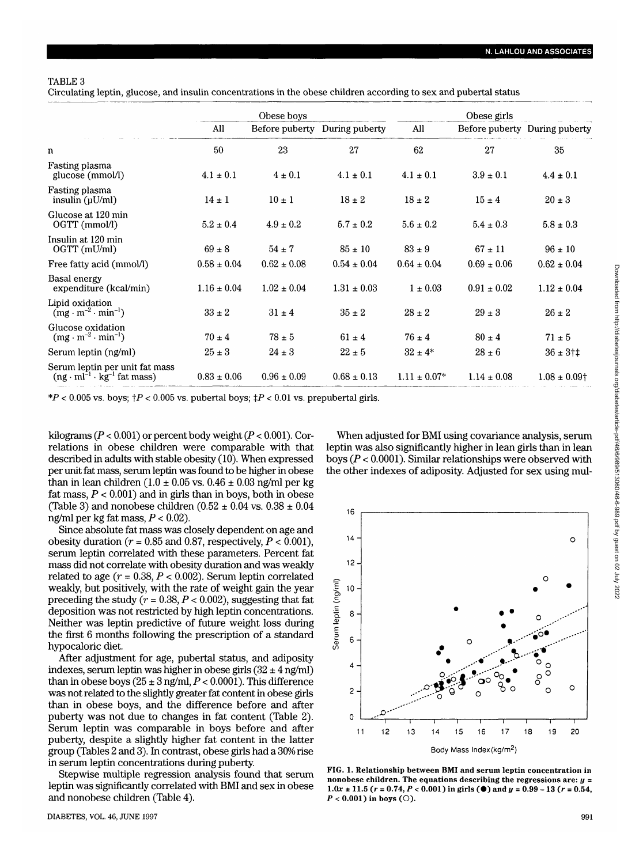## TABLE 3

Circulating leptin, glucose, and insulin concentrations in the obese children according to sex and pubertal status

|                                                                                       | Obese boys      |                 | Obese girls     |                  |                 |                               |
|---------------------------------------------------------------------------------------|-----------------|-----------------|-----------------|------------------|-----------------|-------------------------------|
|                                                                                       | All             | Before puberty  | During puberty  | All              |                 | Before puberty During puberty |
| n                                                                                     | 50              | 23              | 27              | 62               | 27              | 35                            |
| Fasting plasma<br>glucose (mmol/l)                                                    | $4.1 \pm 0.1$   | $4 \pm 0.1$     | $4.1\pm0.1$     | $4.1 \pm 0.1$    | $3.9 \pm 0.1$   | $4.4 \pm 0.1$                 |
| Fasting plasma<br>insulin $(\mu U/ml)$                                                | $14 \pm 1$      | $10 \pm 1$      | $18 \pm 2$      | $18 \pm 2$       | $15 \pm 4$      | $20 \pm 3$                    |
| Glucose at 120 min<br>OGTT (mmol/l)                                                   | $5.2 \pm 0.4$   | $4.9 \pm 0.2$   | $5.7 \pm 0.2$   | $5.6 \pm 0.2$    | $5.4 \pm 0.3$   | $5.8 \pm 0.3$                 |
| Insulin at 120 min<br>OGTT (mU/ml)                                                    | $69 \pm 8$      | $54 \pm 7$      | $85 \pm 10$     | $83 \pm 9$       | $67 \pm 11$     | $96 \pm 10$                   |
| Free fatty acid (mmol/l)                                                              | $0.58 \pm 0.04$ | $0.62 \pm 0.08$ | $0.54 \pm 0.04$ | $0.64 \pm 0.04$  | $0.69 \pm 0.06$ | $0.62 \pm 0.04$               |
| Basal energy<br>expenditure (kcal/min)                                                | $1.16 \pm 0.04$ | $1.02 \pm 0.04$ | $1.31 \pm 0.03$ | $1 \pm 0.03$     | $0.91 \pm 0.02$ | $1.12 \pm 0.04$               |
| Lipid oxidation<br>$(mg \cdot m^{-2} \cdot min^{-1})$                                 | $33 \pm 2$      | $31 \pm 4$      | $35 \pm 2$      | $28 \pm 2$       | $29 \pm 3$      | $26 \pm 2$                    |
| Glucose oxidation<br>$(mg \cdot m^{-2} \cdot min^{-1})$                               | $70 \pm 4$      | $78\pm5$        | $61 \pm 4$      | $76 \pm 4$       | $80 \pm 4$      | $71 \pm 5$                    |
| Serum leptin (ng/ml)                                                                  | $25 \pm 3$      | $24 \pm 3$      | $22 \pm 5$      | $32 \pm 4*$      | $28 \pm 6$      | $36 \pm 3$ †‡                 |
| Serum leptin per unit fat mass<br>$(ng \cdot ml^{-1} \cdot kg^{-1} \text{ fat mass})$ | $0.83 \pm 0.06$ | $0.96 \pm 0.09$ | $0.68 \pm 0.13$ | $1.11 \pm 0.07*$ | $1.14 \pm 0.08$ | $1.08 \pm 0.09$ †             |

 $*P < 0.005$  vs. boys;  $\uparrow P < 0.005$  vs. pubertal boys;  $\downarrow P < 0.01$  vs. prepubertal girls.

kilograms *(P <* 0.001) or percent body weight *(P <* 0.001). Correlations in obese children were comparable with that described in adults with stable obesity (10). When expressed per unit fat mass, serum leptin was found to be higher in obese than in lean children (1.0  $\pm$  0.05 vs. 0.46  $\pm$  0.03 ng/ml per kg fat mass,  $P < 0.001$ ) and in girls than in boys, both in obese (Table 3) and nonobese children (0.52  $\pm$  0.04 vs. 0.38  $\pm$  0.04 ng/ml per kg fat mass, *P <* 0.02).

Since absolute fat mass was closely dependent on age and obesity duration ( $r = 0.85$  and 0.87, respectively,  $P < 0.001$ ), serum leptin correlated with these parameters. Percent fat mass did not correlate with obesity duration and was weakly related to age *(r* = 0.38, *P <* 0.002). Serum leptin correlated weakly, but positively, with the rate of weight gain the year preceding the study  $(r = 0.38, P < 0.002)$ , suggesting that fat deposition was not restricted by high leptin concentrations. Neither was leptin predictive of future weight loss during the first 6 months following the prescription of a standard hypocaloric diet.

After adjustment for age, pubertal status, and adiposity indexes, serum leptin was higher in obese girls  $(32 \pm 4$  ng/ml) than in obese boys  $(25 \pm 3 \text{ ng/ml}, P < 0.0001)$ . This difference was not related to the slightly greater fat content in obese girls than in obese boys, and the difference before and after puberty was not due to changes in fat content (Table 2). Serum leptin was comparable in boys before and after puberty, despite a slightly higher fat content in the latter group (Tables 2 and 3). In contrast, obese girls had a 30% rise in serum leptin concentrations during puberty.

Stepwise multiple regression analysis found that serum leptin was significantly correlated with BMI and sex in obese and nonobese children (Table 4).

When adjusted for BMI using covariance analysis, serum leptin was also significantly higher in lean girls than in lean boys *(P <* 0.0001). Similar relationships were observed with the other indexes of adiposity. Adjusted for sex using mul-



FIG. 1. Relationship between BMI and serum leptin concentration in nonobese children. The equations describing the regressions are: *y* = 1.0x  $\pm$  11.5 ( $r = 0.74$ ,  $P < 0.001$ ) in girls ( $\bullet$ ) and  $y = 0.99 - 13$  ( $r = 0.54$ ,  $P < 0.001$ ) in boys (O).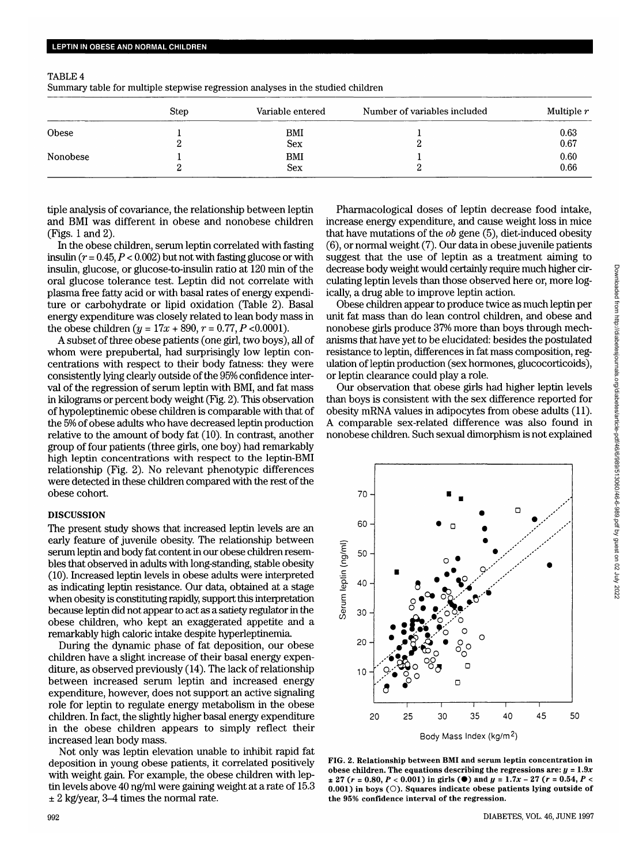|          | <b>Step</b> | Variable entered  | Number of variables included | Multiple $r$ |
|----------|-------------|-------------------|------------------------------|--------------|
| Obese    |             | BMI               |                              | 0.63         |
|          |             | <b>Sex</b>        |                              | 0.67         |
| Nonobese |             | BMI<br><b>Sex</b> |                              | 0.60<br>0.66 |

TABLE 4

| Summary table for multiple stepwise regression analyses in the studied children |  |
|---------------------------------------------------------------------------------|--|
|---------------------------------------------------------------------------------|--|

tiple analysis of covariance, the relationship between leptin and BMI was different in obese and nonobese children (Figs. 1 and 2).

In the obese children, serum leptin correlated with fasting insulin  $(r = 0.45, P < 0.002)$  but not with fasting glucose or with insulin, glucose, or glucose-to-insulin ratio at 120 min of the oral glucose tolerance test. Leptin did not correlate with plasma free fatty acid or with basal rates of energy expenditure or carbohydrate or lipid oxidation (Table 2). Basal energy expenditure was closely related to lean body mass in the obese children  $(y = 17x + 890, r = 0.77, P < 0.0001)$ .

A subset of three obese patients (one girl, two boys), all of whom were prepubertal, had surprisingly low leptin concentrations with respect to their body fatness: they were consistently lying clearly outside of the 95% confidence interval of the regression of serum leptin with BMI, and fat mass in kilograms or percent body weight (Fig. 2). This observation of hypoleptinemic obese children is comparable with that of the 5% of obese adults who have decreased leptin production relative to the amount of body fat (10). In contrast, another group of four patients (three girls, one boy) had remarkably high leptin concentrations with respect to the leptin-BMI relationship (Fig. 2). No relevant phenotypic differences were detected in these children compared with the rest of the obese cohort.

### DISCUSSION

The present study shows that increased leptin levels are an early feature of juvenile obesity. The relationship between serum leptin and body fat content in our obese children resembles that observed in adults with long-standing, stable obesity (10). Increased leptin levels in obese adults were interpreted as indicating leptin resistance. Our data, obtained at a stage when obesity is constituting rapidly, support this interpretation because leptin did not appear to act as a satiety regulator in the obese children, who kept an exaggerated appetite and a remarkably high caloric intake despite hyperleptinemia

During the dynamic phase of fat deposition, our obese children have a slight increase of their basal energy expenditure, as observed previously (14). The lack of relationship between increased serum leptin and increased energy expenditure, however, does not support an active signaling role for leptin to regulate energy metabolism in the obese children. In fact, the slightly higher basal energy expenditure in the obese children appears to simply reflect their increased lean body mass.

Not only was leptin elevation unable to inhibit rapid fat deposition in young obese patients, it correlated positively with weight gain. For example, the obese children with leptin levels above 40 ng/ml were gaining weight at a rate of 15.3  $\pm 2$  kg/year, 3-4 times the normal rate.

Pharmacological doses of leptin decrease food intake, increase energy expenditure, and cause weight loss in mice that have mutations of the *ob* gene (5), diet-induced obesity (6), or normal weight (7). Our data in obese juvenile patients suggest that the use of leptin as a treatment aiming to decrease body weight would certainly require much higher circulating leptin levels than those observed here or, more logically, a drug able to improve leptin action.

Obese children appear to produce twice as much leptin per unit fat mass than do lean control children, and obese and nonobese girls produce 37% more than boys through mechanisms that have yet to be elucidated: besides the postulated resistance to leptin, differences in fat mass composition, regulation of leptin production (sex hormones, glucocorticoids), or leptin clearance could play a role.

Our observation that obese girls had higher leptin levels than boys is consistent with the sex difference reported for obesity mRNA values in adipocytes from obese adults (11). A comparable sex-related difference was also found in nonobese children. Such sexual dimorphism is not explained



FIG. 2. Relationship between BMI and serum leptin concentration in obese children. The equations describing the regressions are:  $y = 1.9x$  $\pm$  27 ( $r$  = 0.80,  $P$  < 0.001) in girls ( $\bullet$ ) and  $y$  = 1.7x - 27 ( $r$  = 0.54,  $P$  <  $0.001$ ) in boys ( $\bigcirc$ ). Squares indicate obese patients lying outside of the 95% confidence interval of the regression.